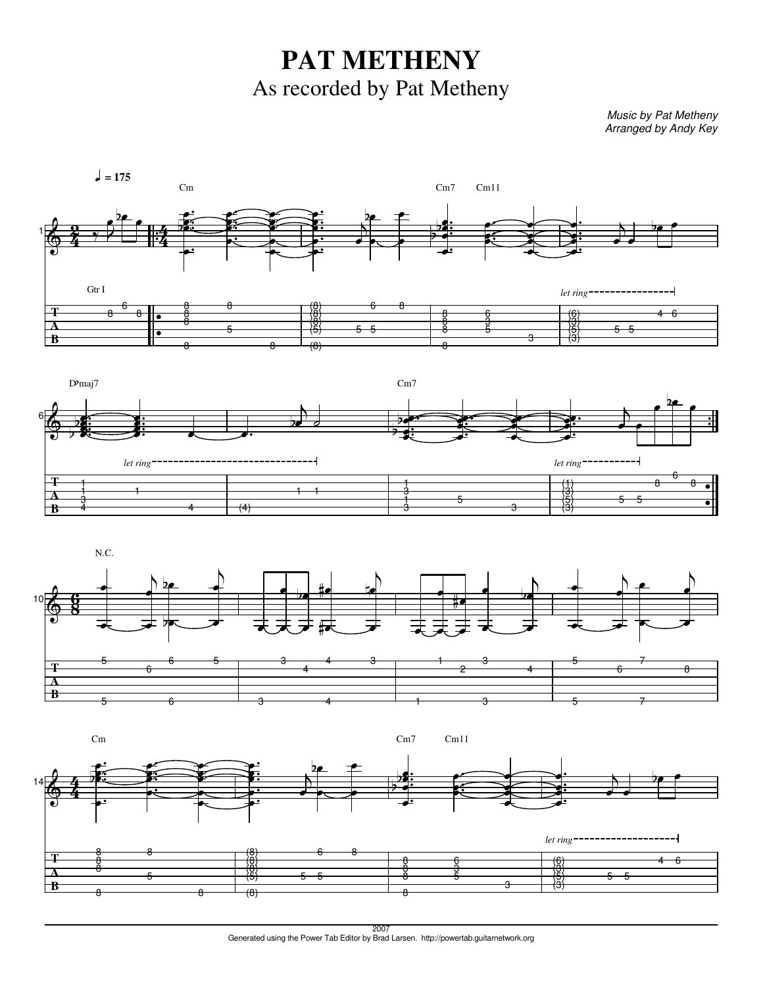**PAT METHENY** As recorded by Pat Metheny

Music by Pat Metheny Arranged by Andy Key









2007 Generated using the Power Tab Editor by Brad Larsen. http://powertab.guitarnetwork.org